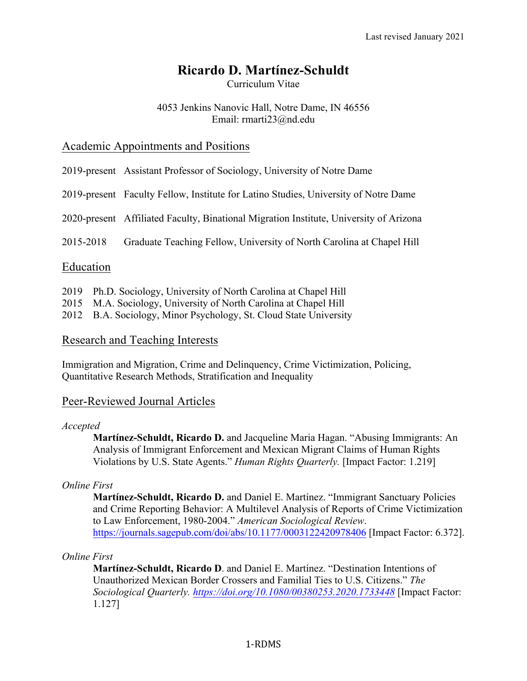# **Ricardo D. Martínez-Schuldt**

Curriculum Vitae

### 4053 Jenkins Nanovic Hall, Notre Dame, IN 46556 Email: rmarti23@nd.edu

### Academic Appointments and Positions

- 2019-present Assistant Professor of Sociology, University of Notre Dame
- 2019-present Faculty Fellow, Institute for Latino Studies, University of Notre Dame

2020-present Affiliated Faculty, Binational Migration Institute, University of Arizona

2015-2018 Graduate Teaching Fellow, University of North Carolina at Chapel Hill

# Education

- 2019 Ph.D. Sociology, University of North Carolina at Chapel Hill
- 2015 M.A. Sociology, University of North Carolina at Chapel Hill
- 2012 B.A. Sociology, Minor Psychology, St. Cloud State University

### Research and Teaching Interests

Immigration and Migration, Crime and Delinquency, Crime Victimization, Policing, Quantitative Research Methods, Stratification and Inequality

# Peer-Reviewed Journal Articles

### *Accepted*

**Martínez-Schuldt, Ricardo D.** and Jacqueline Maria Hagan. "Abusing Immigrants: An Analysis of Immigrant Enforcement and Mexican Migrant Claims of Human Rights Violations by U.S. State Agents." *Human Rights Quarterly.* [Impact Factor: 1.219]

### *Online First*

**Martínez-Schuldt, Ricardo D.** and Daniel E. Martínez. "Immigrant Sanctuary Policies and Crime Reporting Behavior: A Multilevel Analysis of Reports of Crime Victimization to Law Enforcement, 1980-2004." *American Sociological Review*. https://journals.sagepub.com/doi/abs/10.1177/0003122420978406 [Impact Factor: 6.372].

### *Online First*

**Martínez-Schuldt, Ricardo D**. and Daniel E. Martínez. "Destination Intentions of Unauthorized Mexican Border Crossers and Familial Ties to U.S. Citizens." *The Sociological Quarterly. https://doi.org/10.1080/00380253.2020.1733448* [Impact Factor: 1.127]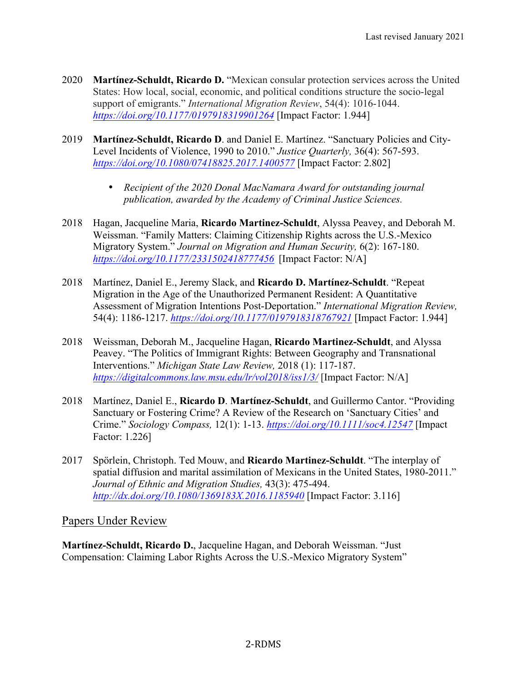- 2020 **Martínez-Schuldt, Ricardo D.** "Mexican consular protection services across the United States: How local, social, economic, and political conditions structure the socio-legal support of emigrants." *International Migration Review*, 54(4): 1016-1044. *https://doi.org/10.1177/0197918319901264* [Impact Factor: 1.944]
- 2019 **Martínez-Schuldt, Ricardo D**. and Daniel E. Martínez. "Sanctuary Policies and City-Level Incidents of Violence, 1990 to 2010." *Justice Quarterly,* 36(4): 567-593. *https://doi.org/10.1080/07418825.2017.1400577* [Impact Factor: 2.802]
	- *Recipient of the 2020 Donal MacNamara Award for outstanding journal publication, awarded by the Academy of Criminal Justice Sciences.*
- 2018 Hagan, Jacqueline Maria, **Ricardo Martinez-Schuldt**, Alyssa Peavey, and Deborah M. Weissman. "Family Matters: Claiming Citizenship Rights across the U.S.-Mexico Migratory System." *Journal on Migration and Human Security,* 6(2): 167-180. *https://doi.org/10.1177/2331502418777456* [Impact Factor: N/A]
- 2018 Martínez, Daniel E., Jeremy Slack, and **Ricardo D. Martínez-Schuldt**. "Repeat Migration in the Age of the Unauthorized Permanent Resident: A Quantitative Assessment of Migration Intentions Post-Deportation." *International Migration Review,* 54(4): 1186-1217. *https://doi.org/10.1177/0197918318767921* [Impact Factor: 1.944]
- 2018 Weissman, Deborah M., Jacqueline Hagan, **Ricardo Martinez-Schuldt**, and Alyssa Peavey. "The Politics of Immigrant Rights: Between Geography and Transnational Interventions." *Michigan State Law Review,* 2018 (1): 117-187. *https://digitalcommons.law.msu.edu/lr/vol2018/iss1/3/* [Impact Factor: N/A]
- 2018 Martínez, Daniel E., **Ricardo D**. **Martínez-Schuldt**, and Guillermo Cantor. "Providing Sanctuary or Fostering Crime? A Review of the Research on 'Sanctuary Cities' and Crime." *Sociology Compass,* 12(1): 1-13. *https://doi.org/10.1111/soc4.12547* [Impact Factor: 1.226]
- 2017 Spörlein, Christoph. Ted Mouw, and **Ricardo Martinez-Schuldt**. "The interplay of spatial diffusion and marital assimilation of Mexicans in the United States, 1980-2011." *Journal of Ethnic and Migration Studies,* 43(3): 475-494. *http://dx.doi.org/10.1080/1369183X.2016.1185940* [Impact Factor: 3.116]

Papers Under Review

**Martínez-Schuldt, Ricardo D.**, Jacqueline Hagan, and Deborah Weissman. "Just Compensation: Claiming Labor Rights Across the U.S.-Mexico Migratory System"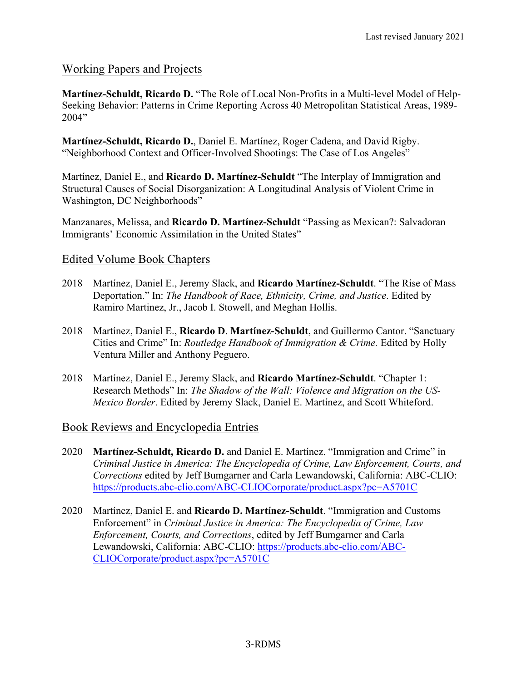# Working Papers and Projects

**Martínez-Schuldt, Ricardo D.** "The Role of Local Non-Profits in a Multi-level Model of Help-Seeking Behavior: Patterns in Crime Reporting Across 40 Metropolitan Statistical Areas, 1989- 2004"

**Martínez-Schuldt, Ricardo D.**, Daniel E. Martínez, Roger Cadena, and David Rigby. "Neighborhood Context and Officer-Involved Shootings: The Case of Los Angeles"

Martínez, Daniel E., and **Ricardo D. Martínez-Schuldt** "The Interplay of Immigration and Structural Causes of Social Disorganization: A Longitudinal Analysis of Violent Crime in Washington, DC Neighborhoods"

Manzanares, Melissa, and **Ricardo D. Martínez-Schuldt** "Passing as Mexican?: Salvadoran Immigrants' Economic Assimilation in the United States"

# Edited Volume Book Chapters

- 2018 Martínez, Daniel E., Jeremy Slack, and **Ricardo Martínez-Schuldt**. "The Rise of Mass Deportation." In: *The Handbook of Race, Ethnicity, Crime, and Justice*. Edited by Ramiro Martinez, Jr., Jacob I. Stowell, and Meghan Hollis.
- 2018 Martínez, Daniel E., **Ricardo D**. **Martínez-Schuldt**, and Guillermo Cantor. "Sanctuary Cities and Crime" In: *Routledge Handbook of Immigration & Crime.* Edited by Holly Ventura Miller and Anthony Peguero.
- 2018 Martínez, Daniel E., Jeremy Slack, and **Ricardo Martínez-Schuldt**. "Chapter 1: Research Methods" In: *The Shadow of the Wall: Violence and Migration on the US-Mexico Border*. Edited by Jeremy Slack, Daniel E. Martínez, and Scott Whiteford.

### Book Reviews and Encyclopedia Entries

- 2020 **Martínez-Schuldt, Ricardo D.** and Daniel E. Martínez. "Immigration and Crime" in *Criminal Justice in America: The Encyclopedia of Crime, Law Enforcement, Courts, and Corrections* edited by Jeff Bumgarner and Carla Lewandowski, California: ABC-CLIO: https://products.abc-clio.com/ABC-CLIOCorporate/product.aspx?pc=A5701C
- 2020 Martínez, Daniel E. and **Ricardo D. Martínez-Schuldt**. "Immigration and Customs Enforcement" in *Criminal Justice in America: The Encyclopedia of Crime, Law Enforcement, Courts, and Corrections*, edited by Jeff Bumgarner and Carla Lewandowski, California: ABC-CLIO: https://products.abc-clio.com/ABC-CLIOCorporate/product.aspx?pc=A5701C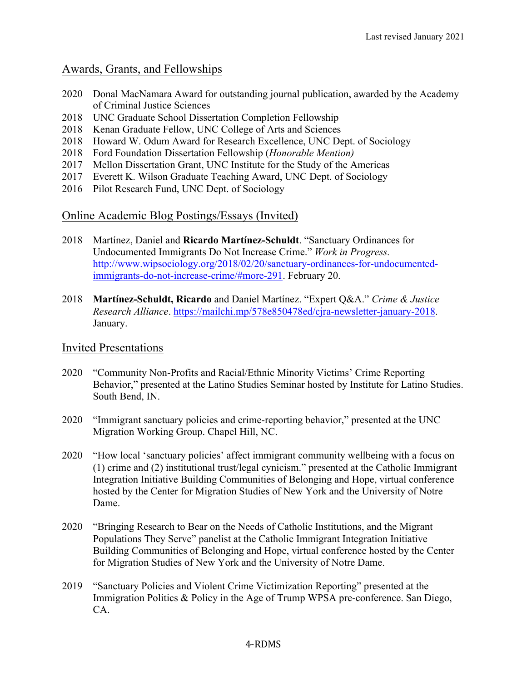## Awards, Grants, and Fellowships

- 2020 Donal MacNamara Award for outstanding journal publication, awarded by the Academy of Criminal Justice Sciences
- 2018 UNC Graduate School Dissertation Completion Fellowship
- 2018 Kenan Graduate Fellow, UNC College of Arts and Sciences
- 2018 Howard W. Odum Award for Research Excellence, UNC Dept. of Sociology
- 2018 Ford Foundation Dissertation Fellowship (*Honorable Mention)*
- 2017 Mellon Dissertation Grant, UNC Institute for the Study of the Americas
- 2017 Everett K. Wilson Graduate Teaching Award, UNC Dept. of Sociology
- 2016 Pilot Research Fund, UNC Dept. of Sociology

# Online Academic Blog Postings/Essays (Invited)

- 2018 Martínez, Daniel and **Ricardo Martínez-Schuldt**. "Sanctuary Ordinances for Undocumented Immigrants Do Not Increase Crime." *Work in Progress.* http://www.wipsociology.org/2018/02/20/sanctuary-ordinances-for-undocumentedimmigrants-do-not-increase-crime/#more-291. February 20.
- 2018 **Martínez-Schuldt, Ricardo** and Daniel Martínez. "Expert Q&A." *Crime & Justice Research Alliance*. https://mailchi.mp/578e850478ed/cjra-newsletter-january-2018. January.

### Invited Presentations

- 2020 "Community Non-Profits and Racial/Ethnic Minority Victims' Crime Reporting Behavior," presented at the Latino Studies Seminar hosted by Institute for Latino Studies. South Bend, IN.
- 2020 "Immigrant sanctuary policies and crime-reporting behavior," presented at the UNC Migration Working Group. Chapel Hill, NC.
- 2020 "How local 'sanctuary policies' affect immigrant community wellbeing with a focus on (1) crime and (2) institutional trust/legal cynicism." presented at the Catholic Immigrant Integration Initiative Building Communities of Belonging and Hope, virtual conference hosted by the Center for Migration Studies of New York and the University of Notre Dame.
- 2020 "Bringing Research to Bear on the Needs of Catholic Institutions, and the Migrant Populations They Serve" panelist at the Catholic Immigrant Integration Initiative Building Communities of Belonging and Hope, virtual conference hosted by the Center for Migration Studies of New York and the University of Notre Dame.
- 2019 "Sanctuary Policies and Violent Crime Victimization Reporting" presented at the Immigration Politics & Policy in the Age of Trump WPSA pre-conference. San Diego, CA.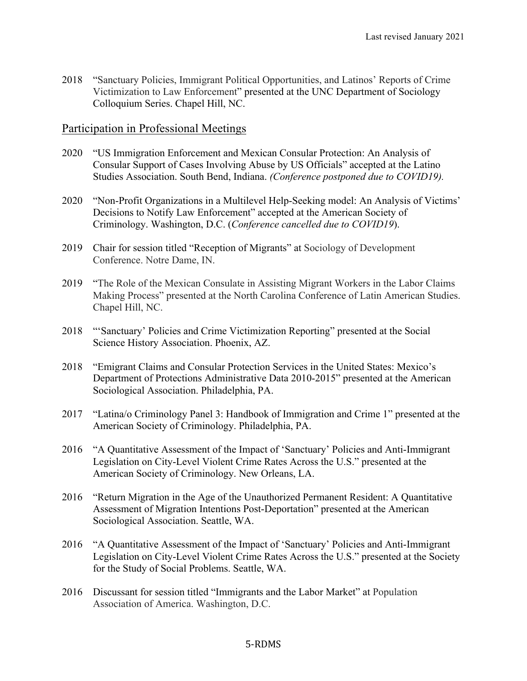2018 "Sanctuary Policies, Immigrant Political Opportunities, and Latinos' Reports of Crime Victimization to Law Enforcement" presented at the UNC Department of Sociology Colloquium Series. Chapel Hill, NC.

### Participation in Professional Meetings

- 2020 "US Immigration Enforcement and Mexican Consular Protection: An Analysis of Consular Support of Cases Involving Abuse by US Officials" accepted at the Latino Studies Association. South Bend, Indiana. *(Conference postponed due to COVID19).*
- 2020 "Non-Profit Organizations in a Multilevel Help-Seeking model: An Analysis of Victims' Decisions to Notify Law Enforcement" accepted at the American Society of Criminology. Washington, D.C. (*Conference cancelled due to COVID19*).
- 2019 Chair for session titled "Reception of Migrants" at Sociology of Development Conference. Notre Dame, IN.
- 2019 "The Role of the Mexican Consulate in Assisting Migrant Workers in the Labor Claims Making Process" presented at the North Carolina Conference of Latin American Studies. Chapel Hill, NC.
- 2018 "'Sanctuary' Policies and Crime Victimization Reporting" presented at the Social Science History Association. Phoenix, AZ.
- 2018 "Emigrant Claims and Consular Protection Services in the United States: Mexico's Department of Protections Administrative Data 2010-2015" presented at the American Sociological Association. Philadelphia, PA.
- 2017 "Latina/o Criminology Panel 3: Handbook of Immigration and Crime 1" presented at the American Society of Criminology. Philadelphia, PA.
- 2016 "A Quantitative Assessment of the Impact of 'Sanctuary' Policies and Anti-Immigrant Legislation on City-Level Violent Crime Rates Across the U.S." presented at the American Society of Criminology. New Orleans, LA.
- 2016 "Return Migration in the Age of the Unauthorized Permanent Resident: A Quantitative Assessment of Migration Intentions Post-Deportation" presented at the American Sociological Association. Seattle, WA.
- 2016 "A Quantitative Assessment of the Impact of 'Sanctuary' Policies and Anti-Immigrant Legislation on City-Level Violent Crime Rates Across the U.S." presented at the Society for the Study of Social Problems. Seattle, WA.
- 2016 Discussant for session titled "Immigrants and the Labor Market" at Population Association of America. Washington, D.C.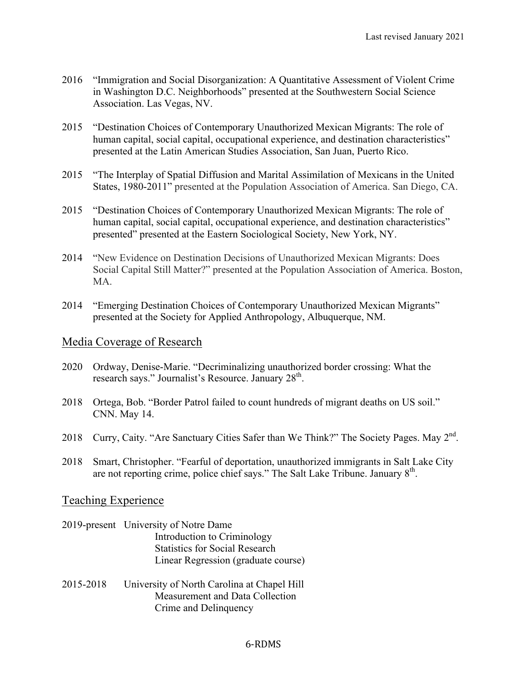- 2016 "Immigration and Social Disorganization: A Quantitative Assessment of Violent Crime in Washington D.C. Neighborhoods" presented at the Southwestern Social Science Association. Las Vegas, NV.
- 2015 "Destination Choices of Contemporary Unauthorized Mexican Migrants: The role of human capital, social capital, occupational experience, and destination characteristics" presented at the Latin American Studies Association, San Juan, Puerto Rico.
- 2015 "The Interplay of Spatial Diffusion and Marital Assimilation of Mexicans in the United States, 1980-2011" presented at the Population Association of America. San Diego, CA.
- 2015 "Destination Choices of Contemporary Unauthorized Mexican Migrants: The role of human capital, social capital, occupational experience, and destination characteristics" presented" presented at the Eastern Sociological Society, New York, NY.
- 2014 "New Evidence on Destination Decisions of Unauthorized Mexican Migrants: Does Social Capital Still Matter?" presented at the Population Association of America. Boston, **MA**
- 2014 "Emerging Destination Choices of Contemporary Unauthorized Mexican Migrants" presented at the Society for Applied Anthropology, Albuquerque, NM.

### Media Coverage of Research

- 2020 Ordway, Denise-Marie. "Decriminalizing unauthorized border crossing: What the research says." Journalist's Resource. January 28<sup>th</sup>.
- 2018 Ortega, Bob. "Border Patrol failed to count hundreds of migrant deaths on US soil." CNN. May 14.
- 2018 Curry, Caity. "Are Sanctuary Cities Safer than We Think?" The Society Pages. May  $2<sup>nd</sup>$ .
- 2018 Smart, Christopher. "Fearful of deportation, unauthorized immigrants in Salt Lake City are not reporting crime, police chief says." The Salt Lake Tribune. January  $8<sup>th</sup>$ .

### Teaching Experience

- 2019-present University of Notre Dame Introduction to Criminology Statistics for Social Research Linear Regression (graduate course)
- 2015-2018 University of North Carolina at Chapel Hill Measurement and Data Collection Crime and Delinquency

#### 6-RDMS